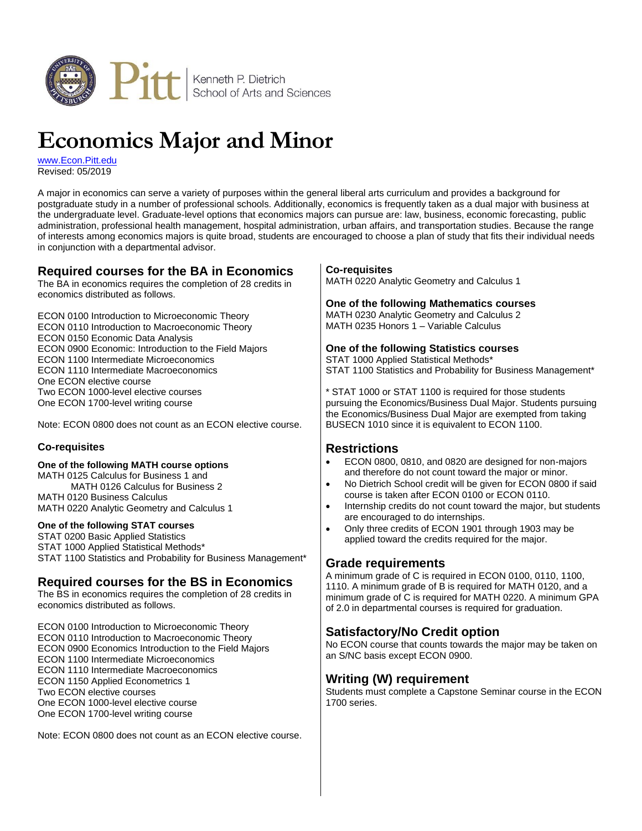

# **Economics Major and Minor**

[www.Econ.Pitt.edu](http://www.econ.pitt.edu/) Revised: 05/2019

A major in economics can serve a variety of purposes within the general liberal arts curriculum and provides a background for postgraduate study in a number of professional schools. Additionally, economics is frequently taken as a dual major with business at the undergraduate level. Graduate-level options that economics majors can pursue are: law, business, economic forecasting, public administration, professional health management, hospital administration, urban affairs, and transportation studies. Because the range of interests among economics majors is quite broad, students are encouraged to choose a plan of study that fits their individual needs in conjunction with a departmental advisor.

| <b>Required courses for the BA in Economics</b><br>The BA in economics requires the completion of 28 credits in<br>economics distributed as follows.                                                                                                                                                                                                                                                                                                                                                                                                     | <b>Co-requisites</b><br>MATH 0220 Analytic Geometry and Calculus 1<br>One of the following Mathematics courses                                                                                                                                                                                                                                                                                                                                                                                                                                                                                                                                                                                                                                                        |
|----------------------------------------------------------------------------------------------------------------------------------------------------------------------------------------------------------------------------------------------------------------------------------------------------------------------------------------------------------------------------------------------------------------------------------------------------------------------------------------------------------------------------------------------------------|-----------------------------------------------------------------------------------------------------------------------------------------------------------------------------------------------------------------------------------------------------------------------------------------------------------------------------------------------------------------------------------------------------------------------------------------------------------------------------------------------------------------------------------------------------------------------------------------------------------------------------------------------------------------------------------------------------------------------------------------------------------------------|
| ECON 0100 Introduction to Microeconomic Theory<br>ECON 0110 Introduction to Macroeconomic Theory<br>ECON 0150 Economic Data Analysis                                                                                                                                                                                                                                                                                                                                                                                                                     | MATH 0230 Analytic Geometry and Calculus 2<br>MATH 0235 Honors 1 - Variable Calculus                                                                                                                                                                                                                                                                                                                                                                                                                                                                                                                                                                                                                                                                                  |
| ECON 0900 Economic: Introduction to the Field Majors<br>ECON 1100 Intermediate Microeconomics<br>ECON 1110 Intermediate Macroeconomics<br>One ECON elective course                                                                                                                                                                                                                                                                                                                                                                                       | One of the following Statistics courses<br>STAT 1000 Applied Statistical Methods*<br>STAT 1100 Statistics and Probability for Business Management*                                                                                                                                                                                                                                                                                                                                                                                                                                                                                                                                                                                                                    |
| Two ECON 1000-level elective courses<br>One ECON 1700-level writing course<br>Note: ECON 0800 does not count as an ECON elective course.                                                                                                                                                                                                                                                                                                                                                                                                                 | * STAT 1000 or STAT 1100 is required for those students<br>pursuing the Economics/Business Dual Major. Students pursuing<br>the Economics/Business Dual Major are exempted from taking<br>BUSECN 1010 since it is equivalent to ECON 1100.                                                                                                                                                                                                                                                                                                                                                                                                                                                                                                                            |
| <b>Co-requisites</b>                                                                                                                                                                                                                                                                                                                                                                                                                                                                                                                                     | <b>Restrictions</b>                                                                                                                                                                                                                                                                                                                                                                                                                                                                                                                                                                                                                                                                                                                                                   |
| One of the following MATH course options<br>MATH 0125 Calculus for Business 1 and<br>MATH 0126 Calculus for Business 2<br><b>MATH 0120 Business Calculus</b><br>MATH 0220 Analytic Geometry and Calculus 1<br>One of the following STAT courses<br>STAT 0200 Basic Applied Statistics<br>STAT 1000 Applied Statistical Methods*<br>STAT 1100 Statistics and Probability for Business Management*<br><b>Required courses for the BS in Economics</b><br>The BS in economics requires the completion of 28 credits in<br>economics distributed as follows. | ECON 0800, 0810, and 0820 are designed for non-majors<br>and therefore do not count toward the major or minor.<br>No Dietrich School credit will be given for ECON 0800 if said<br>$\bullet$<br>course is taken after ECON 0100 or ECON 0110.<br>Internship credits do not count toward the major, but students<br>are encouraged to do internships.<br>Only three credits of ECON 1901 through 1903 may be<br>$\bullet$<br>applied toward the credits required for the major.<br><b>Grade requirements</b><br>A minimum grade of C is required in ECON 0100, 0110, 1100,<br>1110. A minimum grade of B is required for MATH 0120, and a<br>minimum grade of C is required for MATH 0220. A minimum GPA<br>of 2.0 in departmental courses is required for graduation. |
| ECON 0100 Introduction to Microeconomic Theory<br>ECON 0110 Introduction to Macroeconomic Theory<br>ECON 0900 Economics Introduction to the Field Majors<br>ECON 1100 Intermediate Microeconomics<br>ECON 1110 Intermediate Macroeconomics<br>ECON 1150 Applied Econometrics 1<br>Two ECON elective courses<br>One ECON 1000-level elective course<br>One ECON 1700-level writing course                                                                                                                                                                 | <b>Satisfactory/No Credit option</b><br>No ECON course that counts towards the major may be taken on<br>an S/NC basis except ECON 0900.<br><b>Writing (W) requirement</b><br>Students must complete a Capstone Seminar course in the ECON<br>1700 series.                                                                                                                                                                                                                                                                                                                                                                                                                                                                                                             |

Note: ECON 0800 does not count as an ECON elective course.